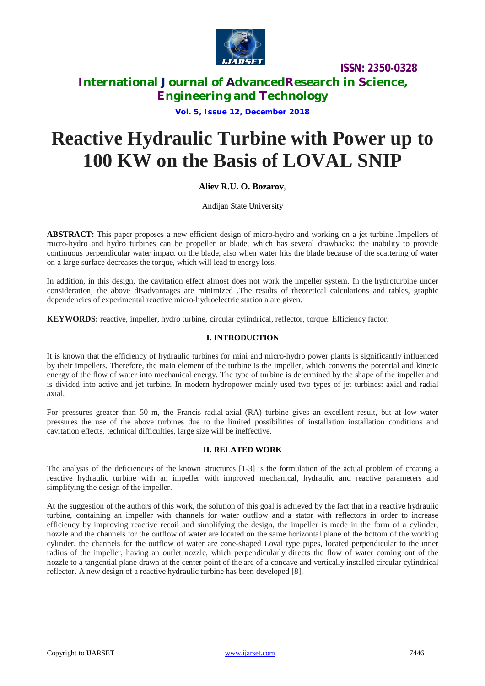

**International Journal of AdvancedResearch in Science, Engineering and Technology**

**Vol. 5, Issue 12, December 2018**

# **Reactive Hydraulic Turbine with Power up to 100 KW on the Basis of LOVAL SNIP**

# **Aliev R.U. O. Bozarov**,

Andijan State University

**ABSTRACT:** This paper proposes a new efficient design of micro-hydro and working on a jet turbine .Impellers of micro-hydro and hydro turbines can be propeller or blade, which has several drawbacks: the inability to provide continuous perpendicular water impact on the blade, also when water hits the blade because of the scattering of water on a large surface decreases the torque, which will lead to energy loss.

In addition, in this design, the cavitation effect almost does not work the impeller system. In the hydroturbine under consideration, the above disadvantages are minimized .The results of theoretical calculations and tables, graphic dependencies of experimental reactive micro-hydroelectric station a are given.

**KEYWORDS:** reactive, impeller, hydro turbine, circular cylindrical, reflector, torque. Efficiency factor.

# **I. INTRODUCTION**

It is known that the efficiency of hydraulic turbines for mini and micro-hydro power plants is significantly influenced by their impellers. Therefore, the main element of the turbine is the impeller, which converts the potential and kinetic energy of the flow of water into mechanical energy. The type of turbine is determined by the shape of the impeller and is divided into active and jet turbine. In modern hydropower mainly used two types of jet turbines: axial and radial axial.

For pressures greater than 50 m, the Francis radial-axial (RA) turbine gives an excellent result, but at low water pressures the use of the above turbines due to the limited possibilities of installation installation conditions and cavitation effects, technical difficulties, large size will be ineffective.

### **II. RELATED WORK**

The analysis of the deficiencies of the known structures [1-3] is the formulation of the actual problem of creating a reactive hydraulic turbine with an impeller with improved mechanical, hydraulic and reactive parameters and simplifying the design of the impeller.

At the suggestion of the authors of this work, the solution of this goal is achieved by the fact that in a reactive hydraulic turbine, containing an impeller with channels for water outflow and a stator with reflectors in order to increase efficiency by improving reactive recoil and simplifying the design, the impeller is made in the form of a cylinder, nozzle and the channels for the outflow of water are located on the same horizontal plane of the bottom of the working cylinder, the channels for the outflow of water are cone-shaped Loval type pipes, located perpendicular to the inner radius of the impeller, having an outlet nozzle, which perpendicularly directs the flow of water coming out of the nozzle to a tangential plane drawn at the center point of the arc of a concave and vertically installed circular cylindrical reflector. A new design of a reactive hydraulic turbine has been developed [8].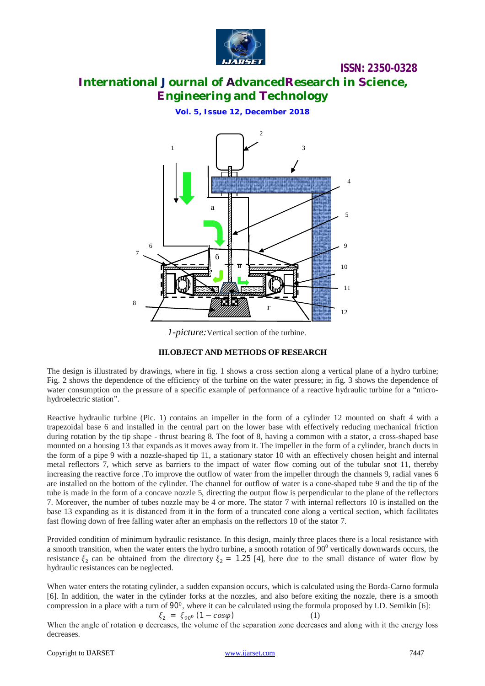

# **International Journal of AdvancedResearch in Science, Engineering and Technology**

**Vol. 5, Issue 12, December 2018**



*1-picture:*Vertical section of the turbine.

### **III.OBJECT AND METHODS OF RESEARCH**

The design is illustrated by drawings, where in fig. 1 shows a cross section along a vertical plane of a hydro turbine; Fig. 2 shows the dependence of the efficiency of the turbine on the water pressure; in fig. 3 shows the dependence of water consumption on the pressure of a specific example of performance of a reactive hydraulic turbine for a "microhydroelectric station".

Reactive hydraulic turbine (Pic. 1) contains an impeller in the form of a cylinder 12 mounted on shaft 4 with a trapezoidal base 6 and installed in the central part on the lower base with effectively reducing mechanical friction during rotation by the tip shape - thrust bearing 8. The foot of 8, having a common with a stator, a cross-shaped base mounted on a housing 13 that expands as it moves away from it. The impeller in the form of a cylinder, branch ducts in the form of a pipe 9 with a nozzle-shaped tip 11, a stationary stator 10 with an effectively chosen height and internal metal reflectors 7, which serve as barriers to the impact of water flow coming out of the tubular snot 11, thereby increasing the reactive force .To improve the outflow of water from the impeller through the channels 9, radial vanes 6 are installed on the bottom of the cylinder. The channel for outflow of water is a cone-shaped tube 9 and the tip of the tube is made in the form of a concave nozzle 5, directing the output flow is perpendicular to the plane of the reflectors 7. Moreover, the number of tubes nozzle may be 4 or more. The stator 7 with internal reflectors 10 is installed on the base 13 expanding as it is distanced from it in the form of a truncated cone along a vertical section, which facilitates fast flowing down of free falling water after an emphasis on the reflectors 10 of the stator 7.

Provided condition of minimum hydraulic resistance. In this design, mainly three places there is a local resistance with a smooth transition, when the water enters the hydro turbine, a smooth rotation of  $90^0$  vertically downwards occurs, the resistance  $\xi_2$  can be obtained from the directory  $\xi_2 = 1.25$  [4], here due to the small distance of water flow by hydraulic resistances can be neglected.

When water enters the rotating cylinder, a sudden expansion occurs, which is calculated using the Borda-Carno formula [6]. In addition, the water in the cylinder forks at the nozzles, and also before exiting the nozzle, there is a smooth compression in a place with a turn of 90<sup>0</sup>, where it can be calculated using the formula proposed by I.D. Semikin [6]:

 $\xi_2 = \xi_{90^0} (1 - \cos \varphi)$  (1) When the angle of rotation φ decreases, the volume of the separation zone decreases and along with it the energy loss decreases.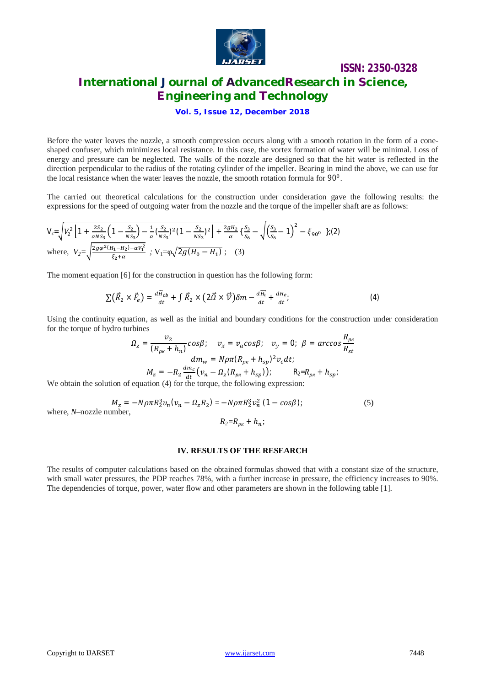

# **ISSN: 2350-0328 International Journal of AdvancedResearch in Science, Engineering and Technology**

### **Vol. 5, Issue 12, December 2018**

Before the water leaves the nozzle, a smooth compression occurs along with a smooth rotation in the form of a coneshaped confuser, which minimizes local resistance. In this case, the vortex formation of water will be minimal. Loss of energy and pressure can be neglected. The walls of the nozzle are designed so that the hit water is reflected in the direction perpendicular to the radius of the rotating cylinder of the impeller. Bearing in mind the above, we can use for the local resistance when the water leaves the nozzle, the smooth rotation formula for 90<sup>0</sup>.

The carried out theoretical calculations for the construction under consideration gave the following results: the expressions for the speed of outgoing water from the nozzle and the torque of the impeller shaft are as follows:

$$
V_c = \sqrt{V_2^2 \left[1 + \frac{2S_2}{\alpha N S_3} \left(1 - \frac{S_2}{N S_3}\right) - \frac{1}{\alpha} \left(\frac{S_2}{N S_3}\right)^2 \left(1 - \frac{S_2}{N S_3}\right)^2\right] + \frac{2gH_2}{\alpha} \left\{\frac{S_3}{S_6} - \sqrt{\left(\frac{S_3}{S_6} - 1\right)^2 - \xi_{90^0}}\right\}; (2)
$$
  
where,  $V_2 = \sqrt{\frac{2g\varphi^2 (H_1 - H_2) + \alpha V_1^2}{\xi_2 + \alpha}}$ ;  $V_1 = \varphi \sqrt{2g(H_0 - H_1)}$ ; (3)

The moment equation [6] for the construction in question has the following form:

$$
\sum \left(\vec{R}_2 \times \vec{F}_e\right) = \frac{d\vec{H}_{tb}}{dt} + \int \vec{R}_2 \times \left(2\vec{\Omega} \times \vec{\mathcal{V}}\right) \delta m - \frac{d\vec{H}_t}{dt} + \frac{dH_e}{dt};\tag{4}
$$

Using the continuity equation, as well as the initial and boundary conditions for the construction under consideration for the torque of hydro turbines

$$
\Omega_z = \frac{v_2}{(R_{p_K} + h_n)} \cos\beta; \quad v_x = v_a \cos\beta; \quad v_y = 0; \quad \beta = \arccos\frac{R_{p_K}}{R_{st}}
$$
\n
$$
dm_w = N\rho\pi (R_{p_K} + h_{sp})^2 v_c dt;
$$
\n
$$
M_z = -R_2 \frac{dm_c}{dt} (v_n - \Omega_z (R_{p_K} + h_{sp})); \quad R_2 = R_{p_K} + h_{sp};
$$
\nof equation (4) for the torque, the following expression:

We obtain the solution of equation (4) for the torque, the following expression:

$$
M_z = -N\rho\pi R_2^3 v_n (v_n - \Omega_z R_2) = -N\rho\pi R_2^3 v_n^2 (1 - \cos\beta); \tag{5}
$$
  
where, *N*-nozzle number, 
$$
R_2 = R_{p_K} + h_n;
$$

#### **IV. RESULTS OF THE RESEARCH**

The results of computer calculations based on the obtained formulas showed that with a constant size of the structure, with small water pressures, the PDP reaches 78%, with a further increase in pressure, the efficiency increases to 90%. The dependencies of torque, power, water flow and other parameters are shown in the following table [1].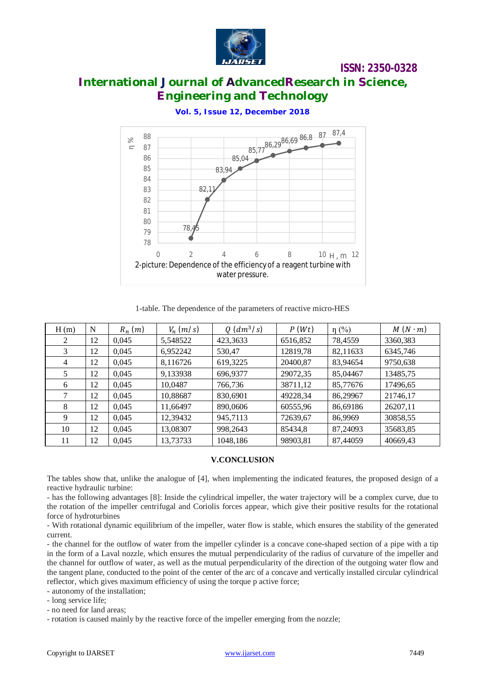

# **International Journal of AdvancedResearch in Science, Engineering and Technology**

**Vol. 5, Issue 12, December 2018**



1-table. The dependence of the parameters of reactive micro-HES

| H(m)           | N  | $R_n(m)$ | $V_n$ (m/s) | $Q$ $(dm^3/s)$ | P(Wt)    | $\eta$ (%) | $M(N \cdot m)$ |
|----------------|----|----------|-------------|----------------|----------|------------|----------------|
| 2              | 12 | 0.045    | 5,548522    | 423,3633       | 6516,852 | 78,4559    | 3360,383       |
| 3              | 12 | 0.045    | 6,952242    | 530,47         | 12819,78 | 82,11633   | 6345,746       |
| $\overline{4}$ | 12 | 0.045    | 8,116726    | 619,3225       | 20400.87 | 83,94654   | 9750,638       |
|                | 12 | 0.045    | 9,133938    | 696,9377       | 29072,35 | 85,04467   | 13485,75       |
| 6              | 12 | 0,045    | 10,0487     | 766,736        | 38711,12 | 85,77676   | 17496,65       |
|                | 12 | 0,045    | 10,88687    | 830,6901       | 49228,34 | 86,29967   | 21746,17       |
| 8              | 12 | 0.045    | 11.66497    | 890,0606       | 60555,96 | 86,69186   | 26207,11       |
| 9              | 12 | 0.045    | 12,39432    | 945,7113       | 72639,67 | 86,9969    | 30858,55       |
| 10             | 12 | 0.045    | 13,08307    | 998,2643       | 85434,8  | 87,24093   | 35683,85       |
| 11             | 12 | 0.045    | 13,73733    | 1048,186       | 98903,81 | 87,44059   | 40669,43       |

### **V.CONCLUSION**

The tables show that, unlike the analogue of [4], when implementing the indicated features, the proposed design of a reactive hydraulic turbine:

- has the following advantages [8]: Inside the cylindrical impeller, the water trajectory will be a complex curve, due to the rotation of the impeller centrifugal and Coriolis forces appear, which give their positive results for the rotational force of hydroturbines

- With rotational dynamic equilibrium of the impeller, water flow is stable, which ensures the stability of the generated current.

- the channel for the outflow of water from the impeller cylinder is a concave cone-shaped section of a pipe with a tip in the form of a Laval nozzle, which ensures the mutual perpendicularity of the radius of curvature of the impeller and the channel for outflow of water, as well as the mutual perpendicularity of the direction of the outgoing water flow and the tangent plane, conducted to the point of the center of the arc of a concave and vertically installed circular cylindrical reflector, which gives maximum efficiency of using the torque p active force;

- autonomy of the installation;

- long service life;

- no need for land areas;

- rotation is caused mainly by the reactive force of the impeller emerging from the nozzle;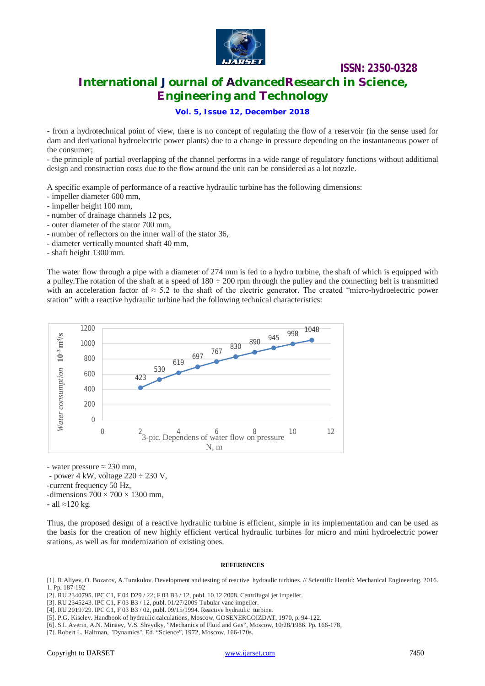

# **International Journal of AdvancedResearch in Science, Engineering and Technology**

### **Vol. 5, Issue 12, December 2018**

- from a hydrotechnical point of view, there is no concept of regulating the flow of a reservoir (in the sense used for dam and derivational hydroelectric power plants) due to a change in pressure depending on the instantaneous power of the consumer;

- the principle of partial overlapping of the channel performs in a wide range of regulatory functions without additional design and construction costs due to the flow around the unit can be considered as a lot nozzle.

A specific example of performance of a reactive hydraulic turbine has the following dimensions:

- impeller diameter 600 mm,
- impeller height 100 mm,
- number of drainage channels 12 pcs,
- outer diameter of the stator 700 mm,
- number of reflectors on the inner wall of the stator 36,
- diameter vertically mounted shaft 40 mm,
- shaft height 1300 mm.

The water flow through a pipe with a diameter of 274 mm is fed to a hydro turbine, the shaft of which is equipped with a pulley. The rotation of the shaft at a speed of  $180 \div 200$  rpm through the pulley and the connecting belt is transmitted with an acceleration factor of  $\approx$  5.2 to the shaft of the electric generator. The created "micro-hydroelectric power station" with a reactive hydraulic turbine had the following technical characteristics:



- water pressure  $\approx$  230 mm.

- power 4 kW, voltage  $220 \div 230$  V, -current frequency 50 Hz, -dimensions  $700 \times 700 \times 1300$  mm.

- all ≈120 kg.

Thus, the proposed design of a reactive hydraulic turbine is efficient, simple in its implementation and can be used as the basis for the creation of new highly efficient vertical hydraulic turbines for micro and mini hydroelectric power stations, as well as for modernization of existing ones.

#### **REFERENCES**

[1]. R.Aliyev, O. Bozarov, A.Turakulov. Development and testing of reactive hydraulic turbines. // Scientific Herald: Mechanical Engineering. 2016. 1. Pp. 187-192

[2]. RU 2340795. IPC C1, F 04 D29 / 22; F 03 B3 / 12, publ. 10.12.2008. Centrifugal jet impeller.

[3]. RU 2345243. IPC C1, F 03 B3 / 12, publ. 01/27/2009 Tubular vane impeller.

[4]. RU 2019729. IPC C1, F 03 B3 / 02, publ. 09/15/1994. Reactive hydraulic turbine.

[5]. P.G. Kiselev. Handbook of hydraulic calculations, Moscow, GOSENERGOIZDAT, 1970, p. 94-122.

[6]. S.I. Averin, A.N. Minaev, V.S. Shvydky, "Mechanics of Fluid and Gas", Moscow, 10/28/1986. Pp. 166-178,

[7]. Robert L. Halfman, "Dynamics", Ed. "Science", 1972, Moscow, 166-170s.